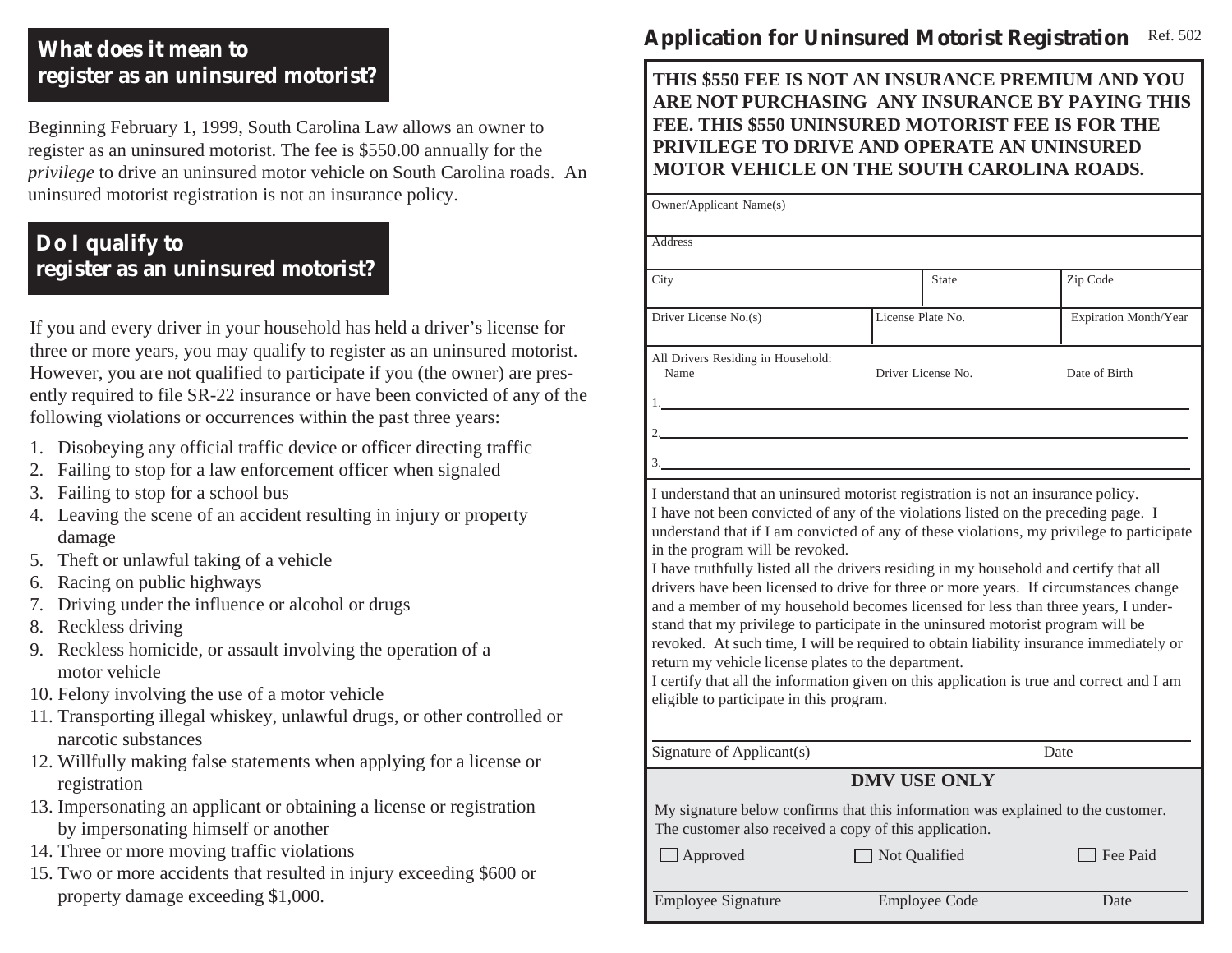## **What does it mean to register as an uninsured motorist?**

Beginning February 1, 1999, South Carolina Law allows an owner to register as an uninsured motorist. The fee is \$550.00 annually for the *privilege* to drive an uninsured motor vehicle on South Carolina roads. An uninsured motorist registration is not an insurance policy.

# **Do I qualify to register as an uninsured motorist?**

If you and every driver in your household has held a driver's license for three or more years, you may qualify to register as an uninsured motorist. However, you are not qualified to participate if you (the owner) are presently required to file SR-22 insurance or have been convicted of any of the following violations or occurrences within the past three years:

- 1. Disobeying any official traffic device or officer directing traffic
- 2. Failing to stop for a law enforcement officer when signaled
- 3. Failing to stop for a school bus
- 4. Leaving the scene of an accident resulting in injury or property damage
- 5. Theft or unlawful taking of a vehicle
- 6. Racing on public highways
- 7. Driving under the influence or alcohol or drugs
- 8. Reckless driving
- 9. Reckless homicide, or assault involving the operation of a motor vehicle
- 10. Felony involving the use of a motor vehicle
- 11. Transporting illegal whiskey, unlawful drugs, or other controlled or narcotic substances
- 12. Willfully making false statements when applying for a license or registration
- 13. Impersonating an applicant or obtaining a license or registration by impersonating himself or another
- 14. Three or more moving traffic violations
- 15. Two or more accidents that resulted in injury exceeding \$600 or property damage exceeding \$1,000.

#### **Application for Uninsured Motorist Registration** Ref. 502

**THIS \$550 FEE IS NOT AN INSURANCE PREMIUM AND YOU ARE NOT PURCHASING ANY INSURANCE BY PAYING THIS FEE. THIS \$550 UNINSURED MOTORIST FEE IS FOR THE PRIVILEGE TO DRIVE AND OPERATE AN UNINSURED MOTOR VEHICLE ON THE SOUTH CAROLINA ROADS.**

| <b>Address</b>                                                                                  |                                                                                                                                                                                                                                                                                                                                                                                                                                                                                                                                                |                       |
|-------------------------------------------------------------------------------------------------|------------------------------------------------------------------------------------------------------------------------------------------------------------------------------------------------------------------------------------------------------------------------------------------------------------------------------------------------------------------------------------------------------------------------------------------------------------------------------------------------------------------------------------------------|-----------------------|
|                                                                                                 |                                                                                                                                                                                                                                                                                                                                                                                                                                                                                                                                                |                       |
| City                                                                                            | <b>State</b>                                                                                                                                                                                                                                                                                                                                                                                                                                                                                                                                   | Zip Code              |
| Driver License No.(s)                                                                           | License Plate No.                                                                                                                                                                                                                                                                                                                                                                                                                                                                                                                              | Expiration Month/Year |
| All Drivers Residing in Household:<br>Name                                                      | Driver License No.                                                                                                                                                                                                                                                                                                                                                                                                                                                                                                                             | Date of Birth         |
| $2$ <sub>—</sub>                                                                                |                                                                                                                                                                                                                                                                                                                                                                                                                                                                                                                                                |                       |
|                                                                                                 |                                                                                                                                                                                                                                                                                                                                                                                                                                                                                                                                                |                       |
| 3.<br>in the program will be revoked.                                                           | I understand that an uninsured motorist registration is not an insurance policy.<br>I have not been convicted of any of the violations listed on the preceding page. I<br>understand that if I am convicted of any of these violations, my privilege to participate                                                                                                                                                                                                                                                                            |                       |
| return my vehicle license plates to the department.<br>eligible to participate in this program. | I have truthfully listed all the drivers residing in my household and certify that all<br>drivers have been licensed to drive for three or more years. If circumstances change<br>and a member of my household becomes licensed for less than three years, I under-<br>stand that my privilege to participate in the uninsured motorist program will be<br>revoked. At such time, I will be required to obtain liability insurance immediately or<br>I certify that all the information given on this application is true and correct and I am |                       |
| Signature of Applicant(s)                                                                       |                                                                                                                                                                                                                                                                                                                                                                                                                                                                                                                                                | Date                  |
|                                                                                                 | <b>DMV USE ONLY</b>                                                                                                                                                                                                                                                                                                                                                                                                                                                                                                                            |                       |
| The customer also received a copy of this application.                                          | My signature below confirms that this information was explained to the customer.                                                                                                                                                                                                                                                                                                                                                                                                                                                               |                       |